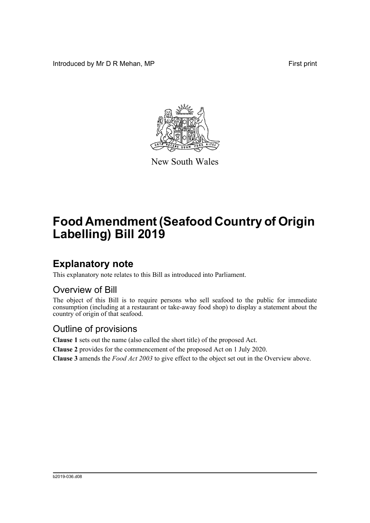Introduced by Mr D R Mehan, MP **First** print



New South Wales

# **Food Amendment (Seafood Country of Origin Labelling) Bill 2019**

## **Explanatory note**

This explanatory note relates to this Bill as introduced into Parliament.

#### Overview of Bill

The object of this Bill is to require persons who sell seafood to the public for immediate consumption (including at a restaurant or take-away food shop) to display a statement about the country of origin of that seafood.

#### Outline of provisions

**Clause 1** sets out the name (also called the short title) of the proposed Act.

**Clause 2** provides for the commencement of the proposed Act on 1 July 2020.

**Clause 3** amends the *Food Act 2003* to give effect to the object set out in the Overview above.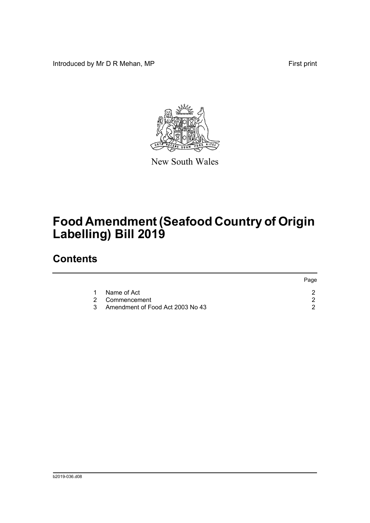Introduced by Mr D R Mehan, MP **First** print



New South Wales

# **Food Amendment (Seafood Country of Origin Labelling) Bill 2019**

### **Contents**

|  |                                    | Page |
|--|------------------------------------|------|
|  | Name of Act                        |      |
|  | 2 Commencement                     |      |
|  | 3 Amendment of Food Act 2003 No 43 |      |
|  |                                    |      |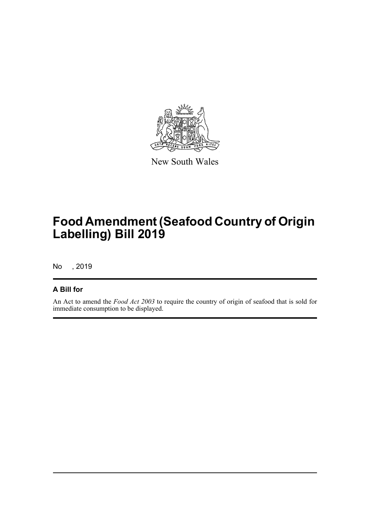

New South Wales

# **Food Amendment (Seafood Country of Origin Labelling) Bill 2019**

No , 2019

#### **A Bill for**

An Act to amend the *Food Act 2003* to require the country of origin of seafood that is sold for immediate consumption to be displayed.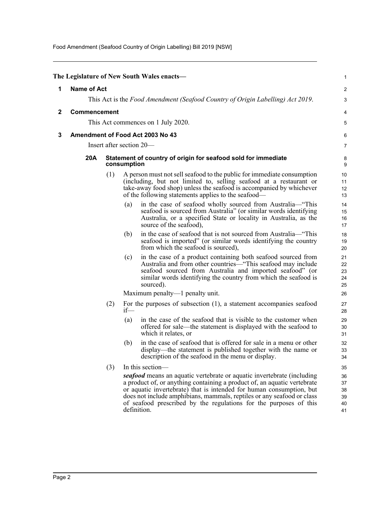Food Amendment (Seafood Country of Origin Labelling) Bill 2019 [NSW]

<span id="page-3-2"></span><span id="page-3-1"></span><span id="page-3-0"></span>

|   |                                                                                |                                                                              |        | The Legislature of New South Wales enacts-                                                                                                                                                                                                                                                                                                                                                                   | 1                                      |  |  |
|---|--------------------------------------------------------------------------------|------------------------------------------------------------------------------|--------|--------------------------------------------------------------------------------------------------------------------------------------------------------------------------------------------------------------------------------------------------------------------------------------------------------------------------------------------------------------------------------------------------------------|----------------------------------------|--|--|
| 1 | <b>Name of Act</b>                                                             |                                                                              |        |                                                                                                                                                                                                                                                                                                                                                                                                              |                                        |  |  |
|   | This Act is the Food Amendment (Seafood Country of Origin Labelling) Act 2019. |                                                                              |        |                                                                                                                                                                                                                                                                                                                                                                                                              |                                        |  |  |
| 2 | Commencement<br>This Act commences on 1 July 2020.                             |                                                                              |        |                                                                                                                                                                                                                                                                                                                                                                                                              |                                        |  |  |
|   |                                                                                |                                                                              |        |                                                                                                                                                                                                                                                                                                                                                                                                              |                                        |  |  |
| 3 |                                                                                | Amendment of Food Act 2003 No 43                                             |        |                                                                                                                                                                                                                                                                                                                                                                                                              |                                        |  |  |
|   | Insert after section 20—                                                       |                                                                              |        |                                                                                                                                                                                                                                                                                                                                                                                                              |                                        |  |  |
|   | 20A                                                                            | Statement of country of origin for seafood sold for immediate<br>consumption |        |                                                                                                                                                                                                                                                                                                                                                                                                              |                                        |  |  |
|   |                                                                                | (1)                                                                          |        | A person must not sell seafood to the public for immediate consumption<br>(including, but not limited to, selling seafood at a restaurant or<br>take-away food shop) unless the seafood is accompanied by whichever<br>of the following statements applies to the seafood—                                                                                                                                   | 10<br>11<br>12<br>13                   |  |  |
|   |                                                                                |                                                                              | (a)    | in the case of seafood wholly sourced from Australia—"This<br>seafood is sourced from Australia" (or similar words identifying<br>Australia, or a specified State or locality in Australia, as the<br>source of the seafood),                                                                                                                                                                                | 14<br>15<br>16<br>17                   |  |  |
|   |                                                                                |                                                                              | (b)    | in the case of seafood that is not sourced from Australia—"This<br>seafood is imported" (or similar words identifying the country<br>from which the seafood is sourced),                                                                                                                                                                                                                                     | 18<br>19<br>20                         |  |  |
|   |                                                                                |                                                                              | (c)    | in the case of a product containing both seafood sourced from<br>Australia and from other countries—"This seafood may include<br>seafood sourced from Australia and imported seafood" (or<br>similar words identifying the country from which the seafood is<br>sourced).                                                                                                                                    | 21<br>22<br>23<br>24<br>25             |  |  |
|   |                                                                                |                                                                              |        | Maximum penalty—1 penalty unit.                                                                                                                                                                                                                                                                                                                                                                              | 26                                     |  |  |
|   |                                                                                | (2)                                                                          | $if$ — | For the purposes of subsection $(1)$ , a statement accompanies seafood                                                                                                                                                                                                                                                                                                                                       | 27<br>28                               |  |  |
|   |                                                                                |                                                                              | (a)    | in the case of the seafood that is visible to the customer when<br>offered for sale—the statement is displayed with the seafood to<br>which it relates, or                                                                                                                                                                                                                                                   | 29<br>30<br>31                         |  |  |
|   |                                                                                |                                                                              | (b)    | in the case of seafood that is offered for sale in a menu or other<br>display—the statement is published together with the name or<br>description of the seafood in the menu or display.                                                                                                                                                                                                                     | 32<br>33<br>34                         |  |  |
|   |                                                                                | (3)                                                                          |        | In this section-<br>seafood means an aquatic vertebrate or aquatic invertebrate (including<br>a product of, or anything containing a product of, an aquatic vertebrate<br>or aquatic invertebrate) that is intended for human consumption, but<br>does not include amphibians, mammals, reptiles or any seafood or class<br>of seafood prescribed by the regulations for the purposes of this<br>definition. | 35<br>36<br>37<br>38<br>39<br>40<br>41 |  |  |
|   |                                                                                |                                                                              |        |                                                                                                                                                                                                                                                                                                                                                                                                              |                                        |  |  |